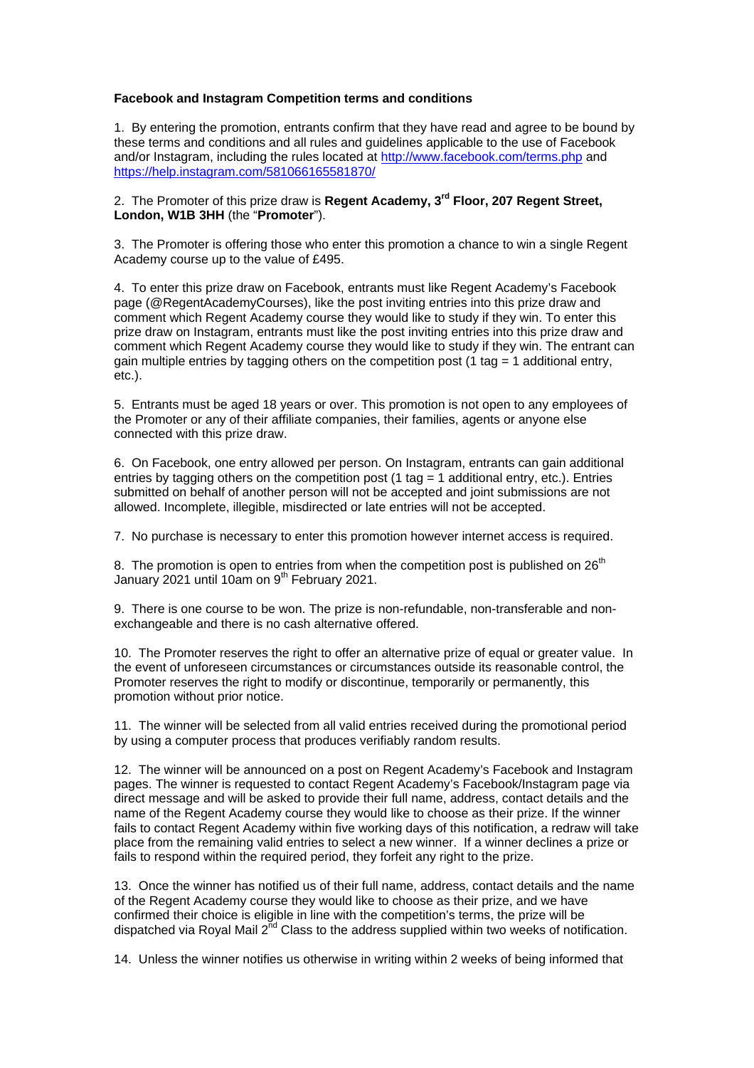## **Facebook and Instagram Competition terms and conditions**

1. By entering the promotion, entrants confirm that they have read and agree to be bound by these terms and conditions and all rules and guidelines applicable to the use of Facebook and/or Instagram, including the rules located at http://www.facebook.com/terms.php and https://help.instagram.com/581066165581870/

## 2. The Promoter of this prize draw is **Regent Academy, 3rd Floor, 207 Regent Street, London, W1B 3HH** (the "**Promoter**").

3. The Promoter is offering those who enter this promotion a chance to win a single Regent Academy course up to the value of £495.

4. To enter this prize draw on Facebook, entrants must like Regent Academy's Facebook page (@RegentAcademyCourses), like the post inviting entries into this prize draw and comment which Regent Academy course they would like to study if they win. To enter this prize draw on Instagram, entrants must like the post inviting entries into this prize draw and comment which Regent Academy course they would like to study if they win. The entrant can gain multiple entries by tagging others on the competition post (1 tag  $=$  1 additional entry, etc.).

5. Entrants must be aged 18 years or over. This promotion is not open to any employees of the Promoter or any of their affiliate companies, their families, agents or anyone else connected with this prize draw.

6. On Facebook, one entry allowed per person. On Instagram, entrants can gain additional entries by tagging others on the competition post (1 tag = 1 additional entry, etc.). Entries submitted on behalf of another person will not be accepted and joint submissions are not allowed. Incomplete, illegible, misdirected or late entries will not be accepted.

7. No purchase is necessary to enter this promotion however internet access is required.

8. The promotion is open to entries from when the competition post is published on  $26<sup>th</sup>$ January 2021 until 10am on 9<sup>th</sup> February 2021.

9. There is one course to be won. The prize is non-refundable, non-transferable and nonexchangeable and there is no cash alternative offered.

10. The Promoter reserves the right to offer an alternative prize of equal or greater value. In the event of unforeseen circumstances or circumstances outside its reasonable control, the Promoter reserves the right to modify or discontinue, temporarily or permanently, this promotion without prior notice.

11. The winner will be selected from all valid entries received during the promotional period by using a computer process that produces verifiably random results.

12. The winner will be announced on a post on Regent Academy's Facebook and Instagram pages. The winner is requested to contact Regent Academy's Facebook/Instagram page via direct message and will be asked to provide their full name, address, contact details and the name of the Regent Academy course they would like to choose as their prize. If the winner fails to contact Regent Academy within five working days of this notification, a redraw will take place from the remaining valid entries to select a new winner. If a winner declines a prize or fails to respond within the required period, they forfeit any right to the prize.

13. Once the winner has notified us of their full name, address, contact details and the name of the Regent Academy course they would like to choose as their prize, and we have confirmed their choice is eligible in line with the competition's terms, the prize will be dispatched via Royal Mail  $2<sup>nd</sup>$  Class to the address supplied within two weeks of notification.

14. Unless the winner notifies us otherwise in writing within 2 weeks of being informed that